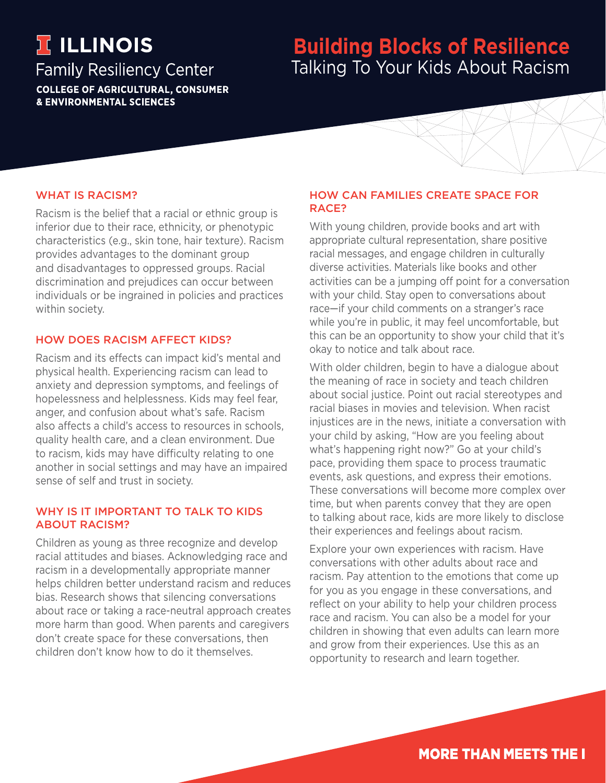# **TELLINOIS**

### **Family Resiliency Center COLLEGE OF AGRICULTURAL, CONSUMER & ENVIRONMENTAL SCIENCES**

## **Building Blocks of Resilience** Talking To Your Kids About Racism

#### WHAT IS RACISM?

Racism is the belief that a racial or ethnic group is inferior due to their race, ethnicity, or phenotypic characteristics (e.g., skin tone, hair texture). Racism provides advantages to the dominant group and disadvantages to oppressed groups. Racial discrimination and prejudices can occur between individuals or be ingrained in policies and practices within society.

#### HOW DOES RACISM AFFECT KIDS?

Racism and its effects can impact kid's mental and physical health. Experiencing racism can lead to anxiety and depression symptoms, and feelings of hopelessness and helplessness. Kids may feel fear, anger, and confusion about what's safe. Racism also affects a child's access to resources in schools, quality health care, and a clean environment. Due to racism, kids may have difficulty relating to one another in social settings and may have an impaired sense of self and trust in society.

#### WHY IS IT IMPORTANT TO TALK TO KIDS ABOUT RACISM?

Children as young as three recognize and develop racial attitudes and biases. Acknowledging race and racism in a developmentally appropriate manner helps children better understand racism and reduces bias. Research shows that silencing conversations about race or taking a race-neutral approach creates more harm than good. When parents and caregivers don't create space for these conversations, then children don't know how to do it themselves.

#### HOW CAN FAMILIES CREATE SPACE FOR RACE?

With young children, provide books and art with appropriate cultural representation, share positive racial messages, and engage children in culturally diverse activities. Materials like books and other activities can be a jumping off point for a conversation with your child. Stay open to conversations about race—if your child comments on a stranger's race while you're in public, it may feel uncomfortable, but this can be an opportunity to show your child that it's okay to notice and talk about race.

With older children, begin to have a dialogue about the meaning of race in society and teach children about social justice. Point out racial stereotypes and racial biases in movies and television. When racist injustices are in the news, initiate a conversation with your child by asking, "How are you feeling about what's happening right now?" Go at your child's pace, providing them space to process traumatic events, ask questions, and express their emotions. These conversations will become more complex over time, but when parents convey that they are open to talking about race, kids are more likely to disclose their experiences and feelings about racism.

Explore your own experiences with racism. Have conversations with other adults about race and racism. Pay attention to the emotions that come up for you as you engage in these conversations, and reflect on your ability to help your children process race and racism. You can also be a model for your children in showing that even adults can learn more and grow from their experiences. Use this as an opportunity to research and learn together.

**MORE THAN MEETS THE I**